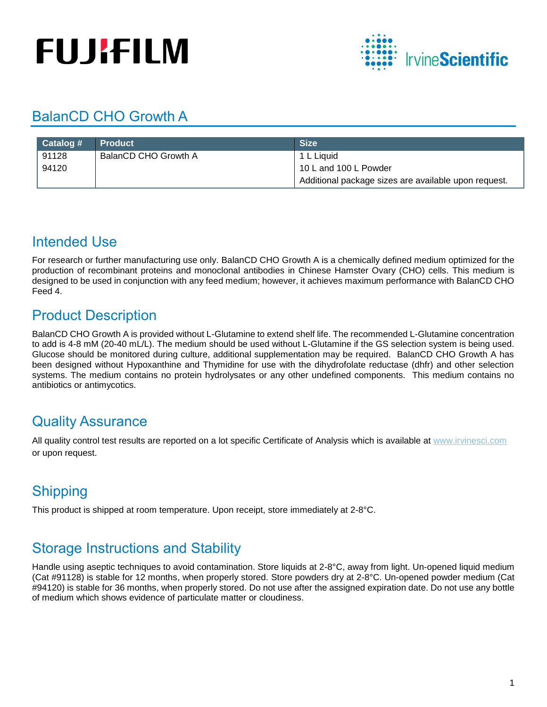# **FUJIFILM**



## BalanCD CHO Growth A

| Catalog # | <b>Product</b>       | <b>Size</b>                                          |
|-----------|----------------------|------------------------------------------------------|
| 91128     | BalanCD CHO Growth A | 1 L Liquid                                           |
| 94120     |                      | 10 L and 100 L Powder                                |
|           |                      | Additional package sizes are available upon request. |

## Intended Use

For research or further manufacturing use only. BalanCD CHO Growth A is a chemically defined medium optimized for the production of recombinant proteins and monoclonal antibodies in Chinese Hamster Ovary (CHO) cells. This medium is designed to be used in conjunction with any feed medium; however, it achieves maximum performance with BalanCD CHO Feed 4.

## Product Description

BalanCD CHO Growth A is provided without L-Glutamine to extend shelf life. The recommended L-Glutamine concentration to add is 4-8 mM (20-40 mL/L). The medium should be used without L-Glutamine if the GS selection system is being used. Glucose should be monitored during culture, additional supplementation may be required. BalanCD CHO Growth A has been designed without Hypoxanthine and Thymidine for use with the dihydrofolate reductase (dhfr) and other selection systems. The medium contains no protein hydrolysates or any other undefined components. This medium contains no antibiotics or antimycotics.

## Quality Assurance

All quality control test results are reported on a lot specific Certificate of Analysis which is available at [www.irvinesci.com](http://www.irvinesci.com/) or upon request.

# Shipping

This product is shipped at room temperature. Upon receipt, store immediately at 2-8°C.

## Storage Instructions and Stability

Handle using aseptic techniques to avoid contamination. Store liquids at 2-8°C, away from light. Un-opened liquid medium (Cat #91128) is stable for 12 months, when properly stored. Store powders dry at 2-8°C. Un-opened powder medium (Cat #94120) is stable for 36 months, when properly stored. Do not use after the assigned expiration date. Do not use any bottle of medium which shows evidence of particulate matter or cloudiness.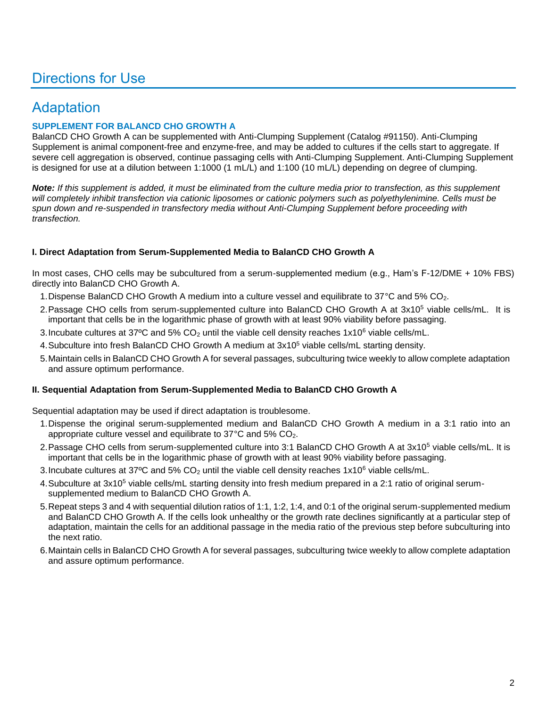## Directions for Use

## Adaptation

#### **SUPPLEMENT FOR BALANCD CHO GROWTH A**

BalanCD CHO Growth A can be supplemented with Anti-Clumping Supplement (Catalog #91150). Anti-Clumping Supplement is animal component-free and enzyme-free, and may be added to cultures if the cells start to aggregate. If severe cell aggregation is observed, continue passaging cells with Anti-Clumping Supplement. Anti-Clumping Supplement is designed for use at a dilution between 1:1000 (1 mL/L) and 1:100 (10 mL/L) depending on degree of clumping.

*Note: If this supplement is added, it must be eliminated from the culture media prior to transfection, as this supplement*  will completely inhibit transfection via cationic liposomes or cationic polymers such as polyethylenimine. Cells must be *spun down and re-suspended in transfectory media without Anti-Clumping Supplement before proceeding with transfection.*

#### **I. Direct Adaptation from Serum-Supplemented Media to BalanCD CHO Growth A**

In most cases, CHO cells may be subcultured from a serum-supplemented medium (e.g., Ham's F-12/DME + 10% FBS) directly into BalanCD CHO Growth A.

- 1.Dispense BalanCD CHO Growth A medium into a culture vessel and equilibrate to 37°C and 5% CO2.
- 2. Passage CHO cells from serum-supplemented culture into BalanCD CHO Growth A at 3x10<sup>5</sup> viable cells/mL. It is important that cells be in the logarithmic phase of growth with at least 90% viability before passaging.
- 3. Incubate cultures at 37°C and 5%  $CO<sub>2</sub>$  until the viable cell density reaches 1x10<sup>6</sup> viable cells/mL.
- 4. Subculture into fresh BalanCD CHO Growth A medium at  $3x10<sup>5</sup>$  viable cells/mL starting density.
- 5.Maintain cells in BalanCD CHO Growth A for several passages, subculturing twice weekly to allow complete adaptation and assure optimum performance.

#### **II. Sequential Adaptation from Serum-Supplemented Media to BalanCD CHO Growth A**

Sequential adaptation may be used if direct adaptation is troublesome.

- 1.Dispense the original serum-supplemented medium and BalanCD CHO Growth A medium in a 3:1 ratio into an appropriate culture vessel and equilibrate to  $37^{\circ}$ C and  $5\%$  CO<sub>2</sub>.
- 2. Passage CHO cells from serum-supplemented culture into 3:1 BalanCD CHO Growth A at 3x10<sup>5</sup> viable cells/mL. It is important that cells be in the logarithmic phase of growth with at least 90% viability before passaging.
- 3. Incubate cultures at 37°C and 5% CO<sub>2</sub> until the viable cell density reaches  $1x10^6$  viable cells/mL.
- 4. Subculture at 3x10<sup>5</sup> viable cells/mL starting density into fresh medium prepared in a 2:1 ratio of original serumsupplemented medium to BalanCD CHO Growth A.
- 5.Repeat steps 3 and 4 with sequential dilution ratios of 1:1, 1:2, 1:4, and 0:1 of the original serum-supplemented medium and BalanCD CHO Growth A. If the cells look unhealthy or the growth rate declines significantly at a particular step of adaptation, maintain the cells for an additional passage in the media ratio of the previous step before subculturing into the next ratio.
- 6.Maintain cells in BalanCD CHO Growth A for several passages, subculturing twice weekly to allow complete adaptation and assure optimum performance.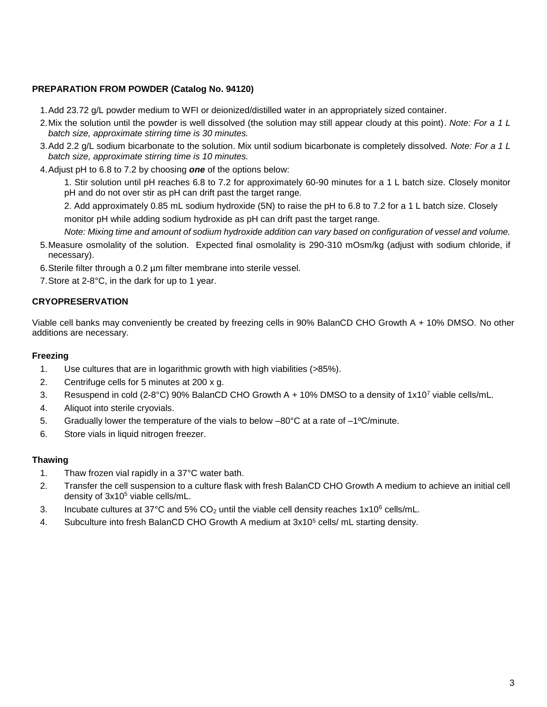#### **PREPARATION FROM POWDER (Catalog No. 94120)**

1.Add 23.72 g/L powder medium to WFI or deionized/distilled water in an appropriately sized container.

- 2.Mix the solution until the powder is well dissolved (the solution may still appear cloudy at this point). *Note: For a 1 L batch size, approximate stirring time is 30 minutes.*
- 3.Add 2.2 g/L sodium bicarbonate to the solution. Mix until sodium bicarbonate is completely dissolved. *Note: For a 1 L batch size, approximate stirring time is 10 minutes.*
- 4.Adjust pH to 6.8 to 7.2 by choosing *one* of the options below:

1. Stir solution until pH reaches 6.8 to 7.2 for approximately 60-90 minutes for a 1 L batch size. Closely monitor pH and do not over stir as pH can drift past the target range.

2. Add approximately 0.85 mL sodium hydroxide (5N) to raise the pH to 6.8 to 7.2 for a 1 L batch size. Closely monitor pH while adding sodium hydroxide as pH can drift past the target range.

*Note: Mixing time and amount of sodium hydroxide addition can vary based on configuration of vessel and volume.* 

- 5.Measure osmolality of the solution. Expected final osmolality is 290-310 mOsm/kg (adjust with sodium chloride, if necessary).
- 6.Sterile filter through a 0.2 µm filter membrane into sterile vessel.
- 7.Store at 2-8°C, in the dark for up to 1 year.

#### **CRYOPRESERVATION**

Viable cell banks may conveniently be created by freezing cells in 90% BalanCD CHO Growth A + 10% DMSO. No other additions are necessary.

#### **Freezing**

- 1. Use cultures that are in logarithmic growth with high viabilities (>85%).
- 2. Centrifuge cells for 5 minutes at 200 x g.
- 3. Resuspend in cold (2-8°C) 90% BalanCD CHO Growth A + 10% DMSO to a density of  $1x10<sup>7</sup>$  viable cells/mL.
- 4. Aliquot into sterile cryovials.
- 5. Gradually lower the temperature of the vials to below  $-80^{\circ}$ C at a rate of  $-1^{\circ}$ C/minute.
- 6. Store vials in liquid nitrogen freezer.

#### **Thawing**

- 1. Thaw frozen vial rapidly in a 37°C water bath.
- 2. Transfer the cell suspension to a culture flask with fresh BalanCD CHO Growth A medium to achieve an initial cell density of  $3x10^5$  viable cells/mL.
- 3. Incubate cultures at 37°C and 5%  $CO<sub>2</sub>$  until the viable cell density reaches 1x10<sup>6</sup> cells/mL.
- 4. Subculture into fresh BalanCD CHO Growth A medium at  $3x10^5$  cells/ mL starting density.